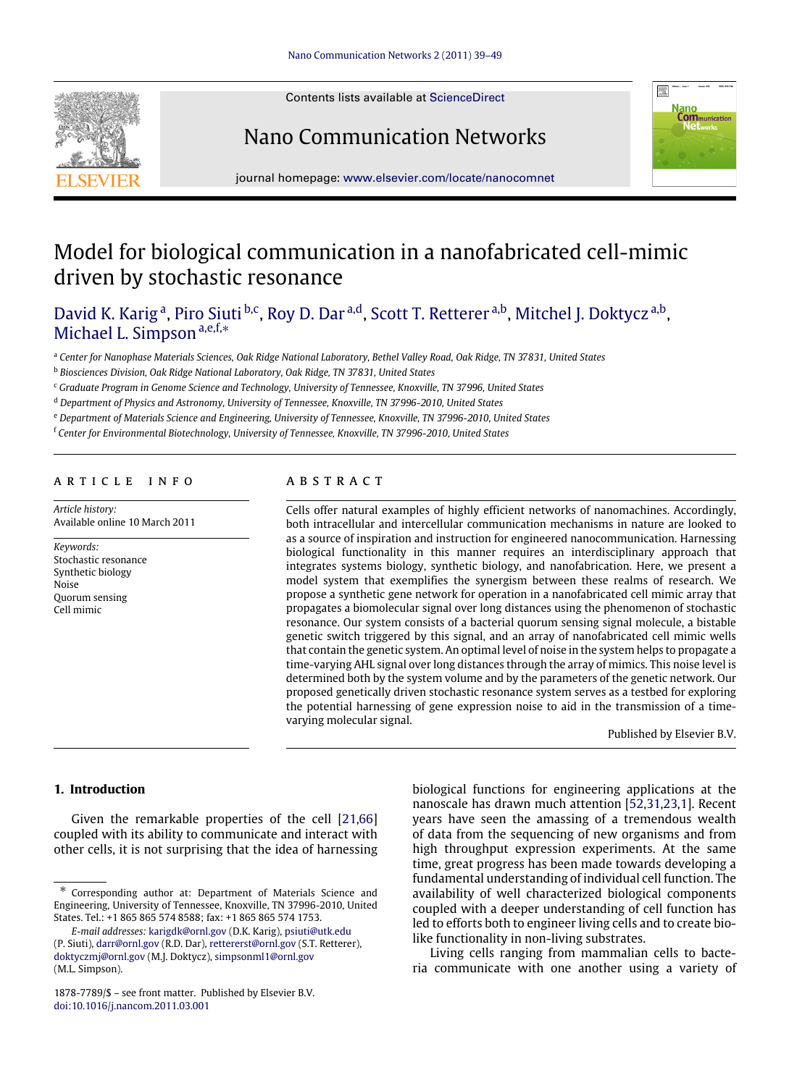







journal homepage: [www.elsevier.com/locate/nanocomnet](http://www.elsevier.com/locate/nanocomnet)

# Model for biological communication in a nanofabricated cell-mimic driven by stochastic resonance

[David K. Karig](#page--1-0)<sup>[a](#page-0-0)</sup>, [Piro Siuti](#page--1-1)<sup>[b](#page-0-1)[,c](#page-0-2)</sup>, [Roy D. Dar](#page--1-2)<sup>a[,d](#page-0-3)</sup>, [Scott T. Retterer](#page--1-3)<sup>[a,](#page-0-0)b</sup>, [Mitchel J. Doktycz](#page--1-4)<sup>a,b</sup>, [Michael L. Simpson](#page--1-5) [a,](#page-0-0)[e](#page-0-4)[,f,](#page-0-5)\*

<span id="page-0-0"></span><sup>a</sup> *Center for Nanophase Materials Sciences, Oak Ridge National Laboratory, Bethel Valley Road, Oak Ridge, TN 37831, United States*

<span id="page-0-1"></span><sup>b</sup> *Biosciences Division, Oak Ridge National Laboratory, Oak Ridge, TN 37831, United States*

<span id="page-0-2"></span><sup>c</sup> *Graduate Program in Genome Science and Technology, University of Tennessee, Knoxville, TN 37996, United States*

<span id="page-0-3"></span><sup>d</sup> *Department of Physics and Astronomy, University of Tennessee, Knoxville, TN 37996-2010, United States*

<span id="page-0-4"></span><sup>e</sup> *Department of Materials Science and Engineering, University of Tennessee, Knoxville, TN 37996-2010, United States*

<span id="page-0-5"></span><sup>f</sup> *Center for Environmental Biotechnology, University of Tennessee, Knoxville, TN 37996-2010, United States*

## a r t i c l e i n f o

*Article history:* Available online 10 March 2011

*Keywords:* Stochastic resonance Synthetic biology Noise Quorum sensing Cell mimic

## a b s t r a c t

Cells offer natural examples of highly efficient networks of nanomachines. Accordingly, both intracellular and intercellular communication mechanisms in nature are looked to as a source of inspiration and instruction for engineered nanocommunication. Harnessing biological functionality in this manner requires an interdisciplinary approach that integrates systems biology, synthetic biology, and nanofabrication. Here, we present a model system that exemplifies the synergism between these realms of research. We propose a synthetic gene network for operation in a nanofabricated cell mimic array that propagates a biomolecular signal over long distances using the phenomenon of stochastic resonance. Our system consists of a bacterial quorum sensing signal molecule, a bistable genetic switch triggered by this signal, and an array of nanofabricated cell mimic wells that contain the genetic system. An optimal level of noise in the system helps to propagate a time-varying AHL signal over long distances through the array of mimics. This noise level is determined both by the system volume and by the parameters of the genetic network. Our proposed genetically driven stochastic resonance system serves as a testbed for exploring the potential harnessing of gene expression noise to aid in the transmission of a timevarying molecular signal.

Published by Elsevier B.V.

#### **1. Introduction**

Given the remarkable properties of the cell [\[21](#page--1-6)[,66\]](#page--1-7) coupled with its ability to communicate and interact with other cells, it is not surprising that the idea of harnessing

biological functions for engineering applications at the nanoscale has drawn much attention [\[52,](#page--1-8)[31](#page--1-9)[,23,](#page--1-10)[1\]](#page--1-11). Recent years have seen the amassing of a tremendous wealth of data from the sequencing of new organisms and from high throughput expression experiments. At the same time, great progress has been made towards developing a fundamental understanding of individual cell function. The availability of well characterized biological components coupled with a deeper understanding of cell function has led to efforts both to engineer living cells and to create biolike functionality in non-living substrates.

Living cells ranging from mammalian cells to bacteria communicate with one another using a variety of

<span id="page-0-6"></span><sup>∗</sup> Corresponding author at: Department of Materials Science and Engineering, University of Tennessee, Knoxville, TN 37996-2010, United States. Tel.: +1 865 865 574 8588; fax: +1 865 865 574 1753.

*E-mail addresses:* [karigdk@ornl.gov](mailto:karigdk@ornl.gov) (D.K. Karig), [psiuti@utk.edu](mailto:psiuti@utk.edu) (P. Siuti), [darr@ornl.gov](mailto:darr@ornl.gov) (R.D. Dar), [rettererst@ornl.gov](mailto:rettererst@ornl.gov) (S.T. Retterer), [doktyczmj@ornl.gov](mailto:doktyczmj@ornl.gov) (M.J. Doktycz), [simpsonml1@ornl.gov](mailto:simpsonml1@ornl.gov) (M.L. Simpson).

<sup>1878-7789/\$ –</sup> see front matter. Published by Elsevier B.V. [doi:10.1016/j.nancom.2011.03.001](http://dx.doi.org/10.1016/j.nancom.2011.03.001)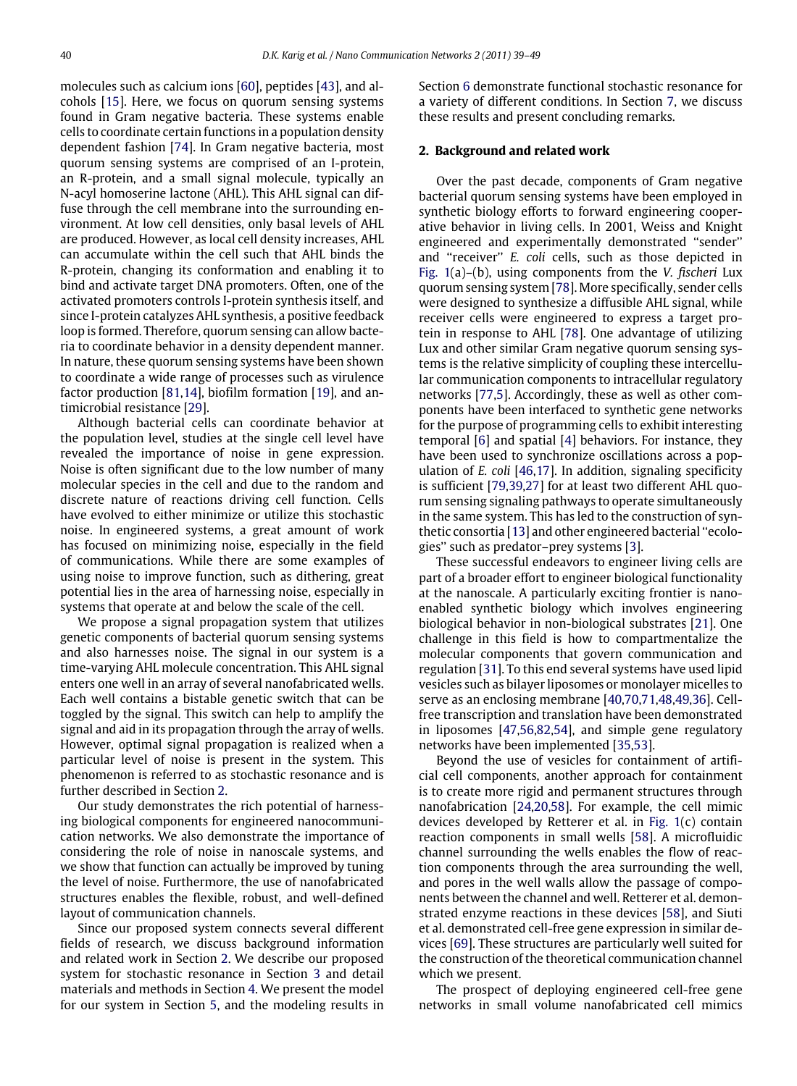molecules such as calcium ions [\[60\]](#page--1-12), peptides [\[43\]](#page--1-13), and alcohols [\[15\]](#page--1-14). Here, we focus on quorum sensing systems found in Gram negative bacteria. These systems enable cells to coordinate certain functions in a population density dependent fashion [\[74\]](#page--1-15). In Gram negative bacteria, most quorum sensing systems are comprised of an I-protein, an R-protein, and a small signal molecule, typically an N-acyl homoserine lactone (AHL). This AHL signal can diffuse through the cell membrane into the surrounding environment. At low cell densities, only basal levels of AHL are produced. However, as local cell density increases, AHL can accumulate within the cell such that AHL binds the R-protein, changing its conformation and enabling it to bind and activate target DNA promoters. Often, one of the activated promoters controls I-protein synthesis itself, and since I-protein catalyzes AHL synthesis, a positive feedback loop is formed. Therefore, quorum sensing can allow bacteria to coordinate behavior in a density dependent manner. In nature, these quorum sensing systems have been shown to coordinate a wide range of processes such as virulence factor production [\[81](#page--1-16)[,14\]](#page--1-17), biofilm formation [\[19\]](#page--1-18), and antimicrobial resistance [\[29\]](#page--1-19).

Although bacterial cells can coordinate behavior at the population level, studies at the single cell level have revealed the importance of noise in gene expression. Noise is often significant due to the low number of many molecular species in the cell and due to the random and discrete nature of reactions driving cell function. Cells have evolved to either minimize or utilize this stochastic noise. In engineered systems, a great amount of work has focused on minimizing noise, especially in the field of communications. While there are some examples of using noise to improve function, such as dithering, great potential lies in the area of harnessing noise, especially in systems that operate at and below the scale of the cell.

We propose a signal propagation system that utilizes genetic components of bacterial quorum sensing systems and also harnesses noise. The signal in our system is a time-varying AHL molecule concentration. This AHL signal enters one well in an array of several nanofabricated wells. Each well contains a bistable genetic switch that can be toggled by the signal. This switch can help to amplify the signal and aid in its propagation through the array of wells. However, optimal signal propagation is realized when a particular level of noise is present in the system. This phenomenon is referred to as stochastic resonance and is further described in Section [2.](#page-1-0)

Our study demonstrates the rich potential of harnessing biological components for engineered nanocommunication networks. We also demonstrate the importance of considering the role of noise in nanoscale systems, and we show that function can actually be improved by tuning the level of noise. Furthermore, the use of nanofabricated structures enables the flexible, robust, and well-defined layout of communication channels.

Since our proposed system connects several different fields of research, we discuss background information and related work in Section [2.](#page-1-0) We describe our proposed system for stochastic resonance in Section [3](#page--1-20) and detail materials and methods in Section [4.](#page--1-21) We present the model for our system in Section [5,](#page--1-22) and the modeling results in Section [6](#page--1-23) demonstrate functional stochastic resonance for a variety of different conditions. In Section [7,](#page--1-24) we discuss these results and present concluding remarks.

#### <span id="page-1-0"></span>**2. Background and related work**

Over the past decade, components of Gram negative bacterial quorum sensing systems have been employed in synthetic biology efforts to forward engineering cooperative behavior in living cells. In 2001, Weiss and Knight engineered and experimentally demonstrated ''sender'' and ''receiver'' *E. coli* cells, such as those depicted in [Fig. 1\(](#page--1-25)a)–(b), using components from the *V. fischeri* Lux quorum sensing system [\[78\]](#page--1-26). More specifically, sender cells were designed to synthesize a diffusible AHL signal, while receiver cells were engineered to express a target protein in response to AHL [\[78\]](#page--1-26). One advantage of utilizing Lux and other similar Gram negative quorum sensing systems is the relative simplicity of coupling these intercellular communication components to intracellular regulatory networks [\[77](#page--1-27)[,5\]](#page--1-28). Accordingly, these as well as other components have been interfaced to synthetic gene networks for the purpose of programming cells to exhibit interesting temporal [\[6\]](#page--1-29) and spatial [\[4\]](#page--1-30) behaviors. For instance, they have been used to synchronize oscillations across a population of *E. coli* [\[46](#page--1-31)[,17\]](#page--1-32). In addition, signaling specificity is sufficient [\[79,](#page--1-33)[39](#page--1-34)[,27\]](#page--1-35) for at least two different AHL quorum sensing signaling pathways to operate simultaneously in the same system. This has led to the construction of synthetic consortia [\[13\]](#page--1-36) and other engineered bacterial ''ecologies'' such as predator–prey systems [\[3\]](#page--1-37).

These successful endeavors to engineer living cells are part of a broader effort to engineer biological functionality at the nanoscale. A particularly exciting frontier is nanoenabled synthetic biology which involves engineering biological behavior in non-biological substrates [\[21\]](#page--1-6). One challenge in this field is how to compartmentalize the molecular components that govern communication and regulation [\[31\]](#page--1-9). To this end several systems have used lipid vesicles such as bilayer liposomes or monolayer micelles to serve as an enclosing membrane [\[40,](#page--1-38)[70](#page--1-39)[,71,](#page--1-40)[48](#page--1-41)[,49](#page--1-42)[,36\]](#page--1-43). Cellfree transcription and translation have been demonstrated in liposomes [\[47](#page--1-44)[,56,](#page--1-45)[82](#page--1-46)[,54\]](#page--1-47), and simple gene regulatory networks have been implemented [\[35](#page--1-48)[,53\]](#page--1-49).

Beyond the use of vesicles for containment of artificial cell components, another approach for containment is to create more rigid and permanent structures through nanofabrication [\[24,](#page--1-50)[20,](#page--1-51)[58\]](#page--1-52). For example, the cell mimic devices developed by Retterer et al. in [Fig. 1\(](#page--1-25)c) contain reaction components in small wells [\[58\]](#page--1-52). A microfluidic channel surrounding the wells enables the flow of reaction components through the area surrounding the well, and pores in the well walls allow the passage of components between the channel and well. Retterer et al. demonstrated enzyme reactions in these devices [\[58\]](#page--1-52), and Siuti et al. demonstrated cell-free gene expression in similar devices [\[69\]](#page--1-53). These structures are particularly well suited for the construction of the theoretical communication channel which we present.

The prospect of deploying engineered cell-free gene networks in small volume nanofabricated cell mimics